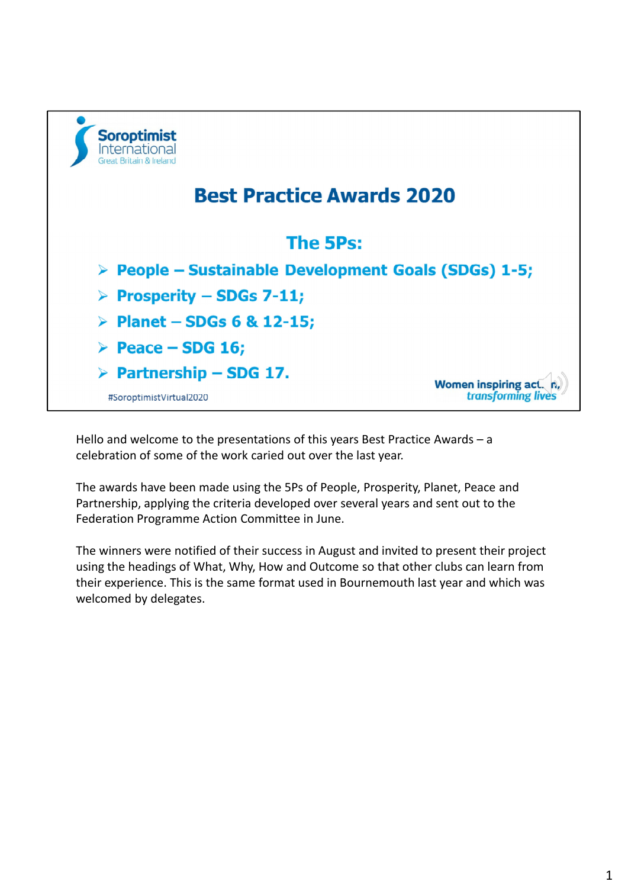

Hello and welcome to the presentations of this years Best Practice Awards – a celebration of some of the work caried out over the last year.

The awards have been made using the 5Ps of People, Prosperity, Planet, Peace and Partnership, applying the criteria developed over several years and sent out to the Federation Programme Action Committee in June.

The winners were notified of their success in August and invited to present their project using the headings of What, Why, How and Outcome so that other clubs can learn from their experience. This is the same format used in Bournemouth last year and which was welcomed by delegates.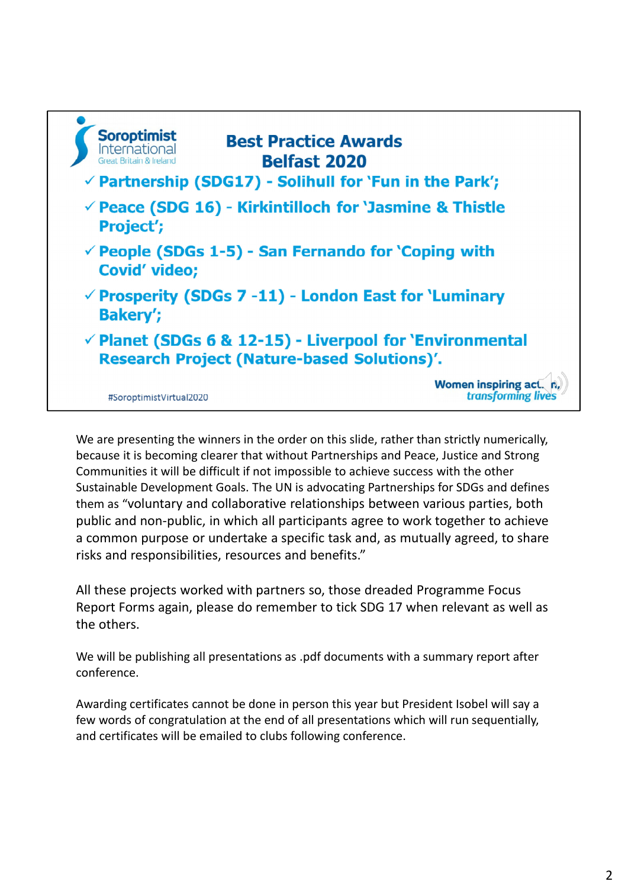| <b>Soroptimist</b><br><b>International</b><br><b>Great Britain &amp; Ireland</b>                                          | <b>Best Practice Awards</b><br><b>Belfast 2020</b><br>$\checkmark$ Partnership (SDG17) - Solihull for `Fun in the Park'; |
|---------------------------------------------------------------------------------------------------------------------------|--------------------------------------------------------------------------------------------------------------------------|
| $\checkmark$ Peace (SDG 16) - Kirkintilloch for 'Jasmine & Thistle<br>Project';                                           |                                                                                                                          |
| $\checkmark$ People (SDGs 1-5) - San Fernando for 'Coping with<br><b>Covid' video;</b>                                    |                                                                                                                          |
| $\checkmark$ Prosperity (SDGs 7 -11) - London East for 'Luminary<br><b>Bakery';</b>                                       |                                                                                                                          |
| $\checkmark$ Planet (SDGs 6 & 12-15) - Liverpool for 'Environmental<br><b>Research Project (Nature-based Solutions)'.</b> |                                                                                                                          |
| #SoroptimistVirtual2020                                                                                                   | <b>Women inspiring a</b><br>transforming liv                                                                             |

We are presenting the winners in the order on this slide, rather than strictly numerically, because it is becoming clearer that without Partnerships and Peace, Justice and Strong Communities it will be difficult if not impossible to achieve success with the other Sustainable Development Goals. The UN is advocating Partnerships for SDGs and defines them as "voluntary and collaborative relationships between various parties, both public and non‐public, in which all participants agree to work together to achieve a common purpose or undertake a specific task and, as mutually agreed, to share risks and responsibilities, resources and benefits."

All these projects worked with partners so, those dreaded Programme Focus Report Forms again, please do remember to tick SDG 17 when relevant as well as the others.

We will be publishing all presentations as .pdf documents with a summary report after conference.

Awarding certificates cannot be done in person this year but President Isobel will say a few words of congratulation at the end of all presentations which will run sequentially, and certificates will be emailed to clubs following conference.